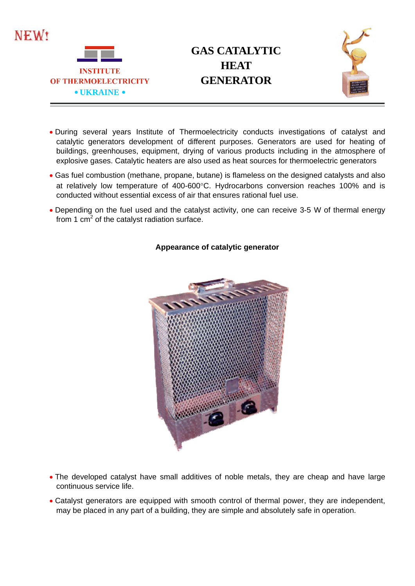

## **GAS CATALYTIC HEAT**



- During several years Institute of Thermoelectricity conducts investigations of catalyst and catalytic generators development of different purposes. Generators are used for heating of buildings, greenhouses, equipment, drying of various products including in the atmosphere of explosive gases. Catalytic heaters are also used as heat sources for thermoelectric generators
- Gas fuel combustion (methane, propane, butane) is flameless on the designed catalysts and also at relatively low temperature of 400-600°C. Hydrocarbons conversion reaches 100% and is conducted without essential excess of air that ensures rational fuel use.
- Depending on the fuel used and the catalyst activity, one can receive 3-5 W of thermal energy from 1 cm<sup>2</sup> of the catalyst radiation surface.



## **Appearance of catalytic generator**

- The developed catalyst have small additives of noble metals, they are cheap and have large continuous service life.
- Catalyst generators are equipped with smooth control of thermal power, they are independent, may be placed in any part of a building, they are simple and absolutely safe in operation.